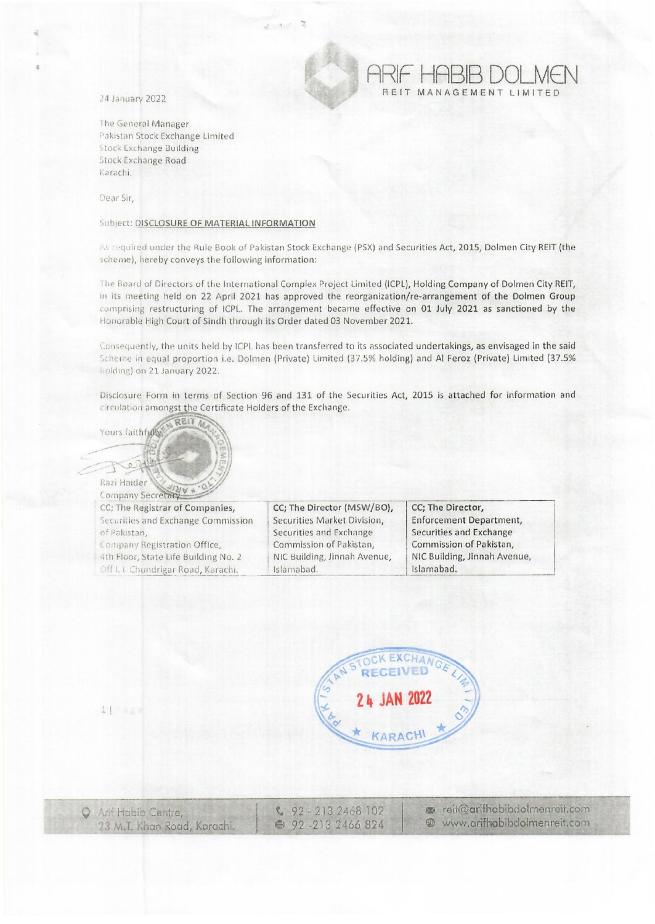24 January 2022

The General Manager Pakistan Stock Exchange Limited **Stock Exchange Building Stock Exchange Road** Karachi.

Dear Sir.

## Subject: DISCLOSURE OF MATERIAL INFORMATION

As required under the Rule Book of Pakistan Stock Exchange (PSX) and Securities Act, 2015, Dolmen City REIT (the scheme), hereby conveys the following information:

The Board of Directors of the International Complex Project Limited (ICPL), Holding Company of Dolmen City REIT, in its meeting held on 22 April 2021 has approved the reorganization/re-arrangement of the Dolmen Group comprising restructuring of ICPL. The arrangement became effective on 01 July 2021 as sanctioned by the Honorable High Court of Sindh through its Order dated 03 November 2021.

Consequently, the units held by ICPL has been transferred to its associated undertakings, as envisaged in the said Scheme in equal proportion i.e. Dolmen (Private) Limited (37.5% holding) and Al Feroz (Private) Limited (37.5% holding) on 21 January 2022.

Disclosure Form in terms of Section 96 and 131 of the Securities Act, 2015 is attached for information and circulation amongst the Certificate Holders of the Exchange.

 $QE1T$ Yours faithfull

11Page

Razi Haider Company Secretary

CC; The Registrar of Companies, Securities and Exchange Commission of Pakistan, Company Registration Office, 4th Floor, State Life Building No. 2 Off I. I Chundrigar Road, Karachi.

CC; The Director (MSW/BO), Securities Market Division, Securities and Exchange Commission of Pakistan, NIC Building, Jinnah Avenue, Islamabad.

CC; The Director, **Enforcement Department,** Securities and Exchange Commission of Pakistan, NIC Building, Jinnah Avenue, Islamabad.

REIT MANAGEMENT LIMITED



| C Ant Habib Centre,         | $92 - 2132468102$ | reit@arifhabibdolmenreit.com |
|-----------------------------|-------------------|------------------------------|
| 23 M.T. Khan Road, Karachi. | ● 92-213 2466 824 | www.arifhabibdolmenreit.com  |